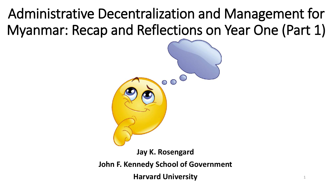## Administrative Decentralization and Management for Myanmar: Recap and Reflections on Year One (Part 1)



**Jay K. Rosengard**

**John F. Kennedy School of Government**

**Harvard University**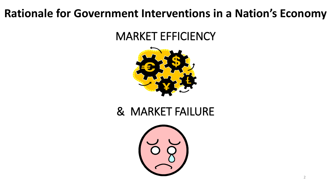#### **Rationale for Government Interventions in a Nation's Economy**

#### MARKET EFFICIENCY



### & MARKET FAILURE

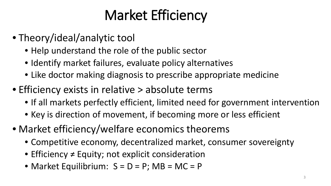# Market Efficiency

- Theory/ideal/analytic tool
	- Help understand the role of the public sector
	- Identify market failures, evaluate policy alternatives
	- Like doctor making diagnosis to prescribe appropriate medicine
- Efficiency exists in relative > absolute terms
	- If all markets perfectly efficient, limited need for government intervention
	- Key is direction of movement, if becoming more or less efficient
- Market efficiency/welfare economics theorems
	- Competitive economy, decentralized market, consumer sovereignty
	- Efficiency ≠ Equity; not explicit consideration
	- Market Equilibrium:  $S = D = P$ ; MB = MC = P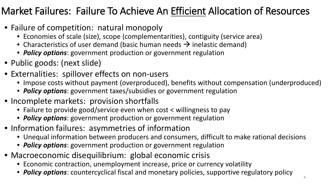#### Market Failures: Failure To Achieve An Efficient Allocation of Resources

- Failure of competition: natural monopoly
	- Economies of scale (size), scope (complementarities), contiguity (service area)
	- Characteristics of user demand (basic human needs  $\rightarrow$  inelastic demand)
	- *Policy options*: government production or government regulation
- Public goods: (next slide)
- Externalities: spillover effects on non-users
	- Impose costs without payment (overproduced), benefits without compensation (underproduced)
	- *Policy options*: government taxes/subsidies or government regulation
- Incomplete markets: provision shortfalls
	- Failure to provide good/service even when cost < willingness to pay
	- *Policy options*: government production or government regulation
- Information failures: asymmetries of information
	- Unequal information between producers and consumers, difficult to make rational decisions
	- *Policy options*: government production or government regulation
- Macroeconomic disequilibrium: global economic crisis
	- Economic contraction, unemployment increase, price or currency volatility
	- *Policy options*: countercyclical fiscal and monetary policies, supportive regulatory policy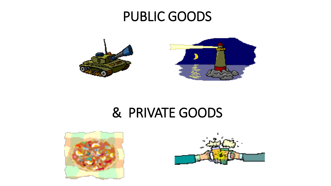### PUBLIC GOODS



### & PRIVATE GOODS



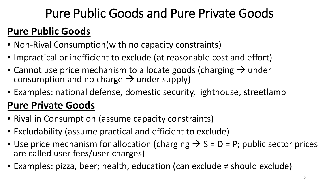### Pure Public Goods and Pure Private Goods

### **Pure Public Goods**

- Non-Rival Consumption(with no capacity constraints)
- Impractical or inefficient to exclude (at reasonable cost and effort)
- Cannot use price mechanism to allocate goods (charging  $\rightarrow$  under consumption and no charge  $\rightarrow$  under supply)
- Examples: national defense, domestic security, lighthouse, streetlamp

### **Pure Private Goods**

- Rival in Consumption (assume capacity constraints)
- Excludability (assume practical and efficient to exclude)
- Use price mechanism for allocation (charging  $\rightarrow$  S = D = P; public sector prices are called user fees/user charges)
- Examples: pizza, beer; health, education (can exclude ≠ should exclude)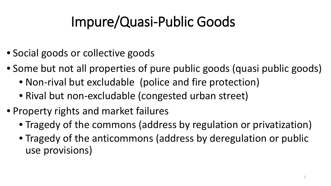# Impure/Quasi-Public Goods

- Social goods or collective goods
- Some but not all properties of pure public goods (quasi public goods)
	- Non-rival but excludable (police and fire protection)
	- Rival but non-excludable (congested urban street)
- Property rights and market failures
	- Tragedy of the commons (address by regulation or privatization)
	- Tragedy of the anticommons (address by deregulation or public use provisions)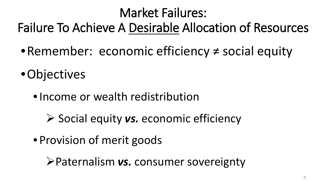## Market Failures: Failure To Achieve A Desirable Allocation of Resources

- •Remember: economic efficiency ≠ social equity
- Objectives
	- •Income or wealth redistribution
		- **≻** Social equity *vs.* economic efficiency
	- Provision of merit goods

Paternalism *vs.* consumer sovereignty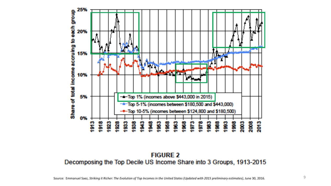

**FIGURE 2** Decomposing the Top Decile US Income Share into 3 Groups, 1913-2015